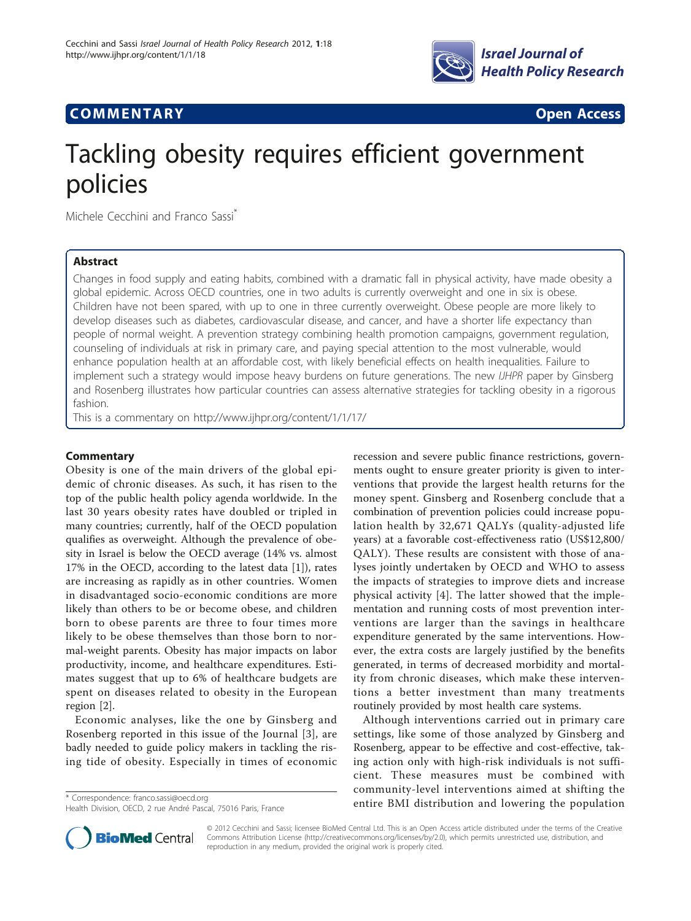

# **COMMENTARY COMMENTARY Open Access**

# Tackling obesity requires efficient government policies

Michele Cecchini and Franco Sassi<sup>®</sup>

# Abstract

Changes in food supply and eating habits, combined with a dramatic fall in physical activity, have made obesity a global epidemic. Across OECD countries, one in two adults is currently overweight and one in six is obese. Children have not been spared, with up to one in three currently overweight. Obese people are more likely to develop diseases such as diabetes, cardiovascular disease, and cancer, and have a shorter life expectancy than people of normal weight. A prevention strategy combining health promotion campaigns, government regulation, counseling of individuals at risk in primary care, and paying special attention to the most vulnerable, would enhance population health at an affordable cost, with likely beneficial effects on health inequalities. Failure to implement such a strategy would impose heavy burdens on future generations. The new *IJHPR* paper by Ginsberg and Rosenberg illustrates how particular countries can assess alternative strategies for tackling obesity in a rigorous fashion.

This is a commentary on<http://www.ijhpr.org/content/1/1/17/>

# **Commentary**

Obesity is one of the main drivers of the global epidemic of chronic diseases. As such, it has risen to the top of the public health policy agenda worldwide. In the last 30 years obesity rates have doubled or tripled in many countries; currently, half of the OECD population qualifies as overweight. Although the prevalence of obesity in Israel is below the OECD average (14% vs. almost 17% in the OECD, according to the latest data [[1\]](#page-1-0)), rates are increasing as rapidly as in other countries. Women in disadvantaged socio-economic conditions are more likely than others to be or become obese, and children born to obese parents are three to four times more likely to be obese themselves than those born to normal-weight parents. Obesity has major impacts on labor productivity, income, and healthcare expenditures. Estimates suggest that up to 6% of healthcare budgets are spent on diseases related to obesity in the European region [[2\]](#page-1-0).

Economic analyses, like the one by Ginsberg and Rosenberg reported in this issue of the Journal [[3\]](#page-1-0), are badly needed to guide policy makers in tackling the rising tide of obesity. Especially in times of economic

recession and severe public finance restrictions, governments ought to ensure greater priority is given to interventions that provide the largest health returns for the money spent. Ginsberg and Rosenberg conclude that a combination of prevention policies could increase population health by 32,671 QALYs (quality-adjusted life years) at a favorable cost-effectiveness ratio (US\$12,800/ QALY). These results are consistent with those of analyses jointly undertaken by OECD and WHO to assess the impacts of strategies to improve diets and increase physical activity [\[4](#page-1-0)]. The latter showed that the implementation and running costs of most prevention interventions are larger than the savings in healthcare expenditure generated by the same interventions. However, the extra costs are largely justified by the benefits generated, in terms of decreased morbidity and mortality from chronic diseases, which make these interventions a better investment than many treatments routinely provided by most health care systems.

Although interventions carried out in primary care settings, like some of those analyzed by Ginsberg and Rosenberg, appear to be effective and cost-effective, taking action only with high-risk individuals is not sufficient. These measures must be combined with community-level interventions aimed at shifting the \* Correspondence: [franco.sassi@oecd.org](mailto:franco.sassi@oecd.org)<br>
Hoalth Division OFCD 2 rue André Paccal 75016 Paris Expres



© 2012 Cecchini and Sassi; licensee BioMed Central Ltd. This is an Open Access article distributed under the terms of the Creative Commons Attribution License [\(http://creativecommons.org/licenses/by/2.0](http://creativecommons.org/licenses/by/2.0)), which permits unrestricted use, distribution, and reproduction in any medium, provided the original work is properly cited.

Health Division, OECD, 2 rue André Pascal, 75016 Paris, France